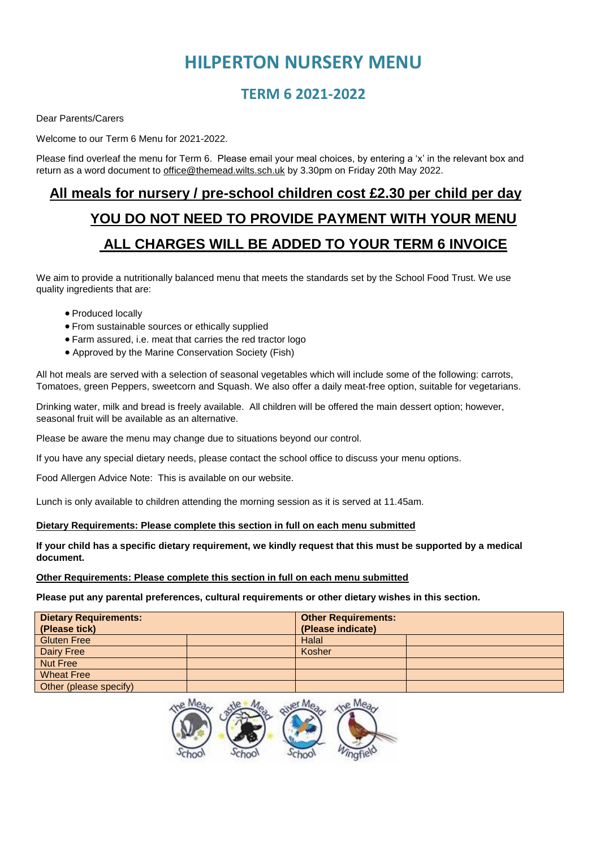## **HILPERTON NURSERY MENU**

### **TERM 6 2021-2022**

Dear Parents/Carers

Welcome to our Term 6 Menu for 2021-2022.

Please find overleaf the menu for Term 6. Please email your meal choices, by entering a 'x' in the relevant box and return as a word document to [office@themead.wilts.sch.uk](mailto:office@themead.wilts.sch.uk) by 3.30pm on Friday 20th May 2022.

### **All meals for nursery / pre-school children cost £2.30 per child per day**

# **YOU DO NOT NEED TO PROVIDE PAYMENT WITH YOUR MENU ALL CHARGES WILL BE ADDED TO YOUR TERM 6 INVOICE**

We aim to provide a nutritionally balanced menu that meets the standards set by the School Food Trust. We use quality ingredients that are:

- Produced locally
- From sustainable sources or ethically supplied
- Farm assured, i.e. meat that carries the red tractor logo
- Approved by the Marine Conservation Society (Fish)

All hot meals are served with a selection of seasonal vegetables which will include some of the following: carrots, Tomatoes, green Peppers, sweetcorn and Squash. We also offer a daily meat-free option, suitable for vegetarians.

Drinking water, milk and bread is freely available. All children will be offered the main dessert option; however, seasonal fruit will be available as an alternative.

Please be aware the menu may change due to situations beyond our control.

If you have any special dietary needs, please contact the school office to discuss your menu options.

Food Allergen Advice Note: This is available on our website.

Lunch is only available to children attending the morning session as it is served at 11.45am.

#### **Dietary Requirements: Please complete this section in full on each menu submitted**

**If your child has a specific dietary requirement, we kindly request that this must be supported by a medical document.**

#### **Other Requirements: Please complete this section in full on each menu submitted**

**Please put any parental preferences, cultural requirements or other dietary wishes in this section.**

| <b>Dietary Requirements:</b><br>(Please tick) | <b>Other Requirements:</b><br>(Please indicate) |  |
|-----------------------------------------------|-------------------------------------------------|--|
| <b>Gluten Free</b>                            | Halal                                           |  |
| Dairy Free                                    | Kosher                                          |  |
| <b>Nut Free</b>                               |                                                 |  |
| <b>Wheat Free</b>                             |                                                 |  |
| Other (please specify)                        |                                                 |  |

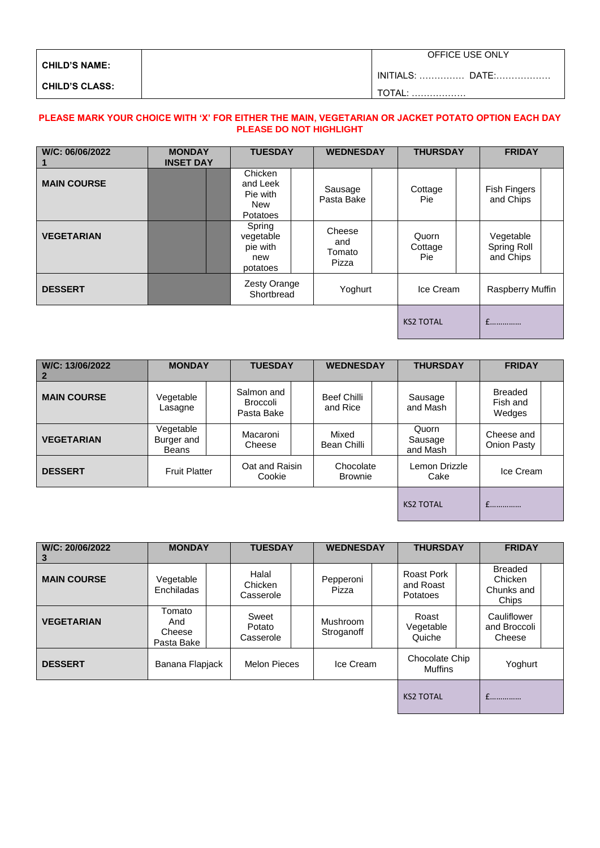| <b>CHILD'S NAME:</b>  | OFFICE USE ONLY              |  |  |  |  |  |
|-----------------------|------------------------------|--|--|--|--|--|
|                       | $INITIALS:$<br>. DATE:.<br>. |  |  |  |  |  |
| <b>CHILD'S CLASS:</b> | .                            |  |  |  |  |  |

### **PLEASE MARK YOUR CHOICE WITH 'X' FOR EITHER THE MAIN, VEGETARIAN OR JACKET POTATO OPTION EACH DAY PLEASE DO NOT HIGHLIGHT**

| W/C: 06/06/2022    | <b>MONDAY</b><br><b>INSET DAY</b> | <b>TUESDAY</b>                                     | <b>WEDNESDAY</b>                 | <b>THURSDAY</b>          |  | <b>FRIDAY</b>                         |  |
|--------------------|-----------------------------------|----------------------------------------------------|----------------------------------|--------------------------|--|---------------------------------------|--|
| <b>MAIN COURSE</b> |                                   | Chicken<br>and Leek<br>Pie with<br>New<br>Potatoes | Sausage<br>Pasta Bake            | Cottage<br>Pie:          |  | <b>Fish Fingers</b><br>and Chips      |  |
| <b>VEGETARIAN</b>  |                                   | Spring<br>vegetable<br>pie with<br>new<br>potatoes | Cheese<br>and<br>Tomato<br>Pizza | Quorn<br>Cottage<br>Pie: |  | Vegetable<br>Spring Roll<br>and Chips |  |
| <b>DESSERT</b>     |                                   | Zesty Orange<br>Shortbread                         | Yoghurt                          | Ice Cream                |  | Raspberry Muffin                      |  |
|                    |                                   |                                                    |                                  | <b>KS2 TOTAL</b>         |  | $f$                                   |  |

| W/C: 13/06/2022<br>2 | <b>MONDAY</b>                           | <b>TUESDAY</b>                              | <b>WEDNESDAY</b>               | <b>THURSDAY</b>              | <b>FRIDAY</b>                        |
|----------------------|-----------------------------------------|---------------------------------------------|--------------------------------|------------------------------|--------------------------------------|
| <b>MAIN COURSE</b>   | Vegetable<br>Lasagne                    | Salmon and<br><b>Broccoli</b><br>Pasta Bake | <b>Beef Chilli</b><br>and Rice | Sausage<br>and Mash          | <b>Breaded</b><br>Fish and<br>Wedges |
| <b>VEGETARIAN</b>    | Vegetable<br>Burger and<br><b>Beans</b> | Macaroni<br>Cheese                          | Mixed<br>Bean Chilli           | Quorn<br>Sausage<br>and Mash | Cheese and<br><b>Onion Pasty</b>     |
| <b>DESSERT</b>       | <b>Fruit Platter</b>                    | Oat and Raisin<br>Cookie                    | Chocolate<br><b>Brownie</b>    | Lemon Drizzle<br>Cake        | Ice Cream                            |
|                      |                                         |                                             |                                | <b>KS2 TOTAL</b>             | f                                    |

| W/C: 20/06/2022<br>3 | <b>MONDAY</b>                         | <b>TUESDAY</b>                |                     | <b>WEDNESDAY</b>       |           | <b>THURSDAY</b>                     |                                  | <b>FRIDAY</b>                                    |  |
|----------------------|---------------------------------------|-------------------------------|---------------------|------------------------|-----------|-------------------------------------|----------------------------------|--------------------------------------------------|--|
| <b>MAIN COURSE</b>   | Vegetable<br>Enchiladas               | Halal<br>Chicken<br>Casserole |                     | Pepperoni<br>Pizza     |           | Roast Pork<br>and Roast<br>Potatoes |                                  | <b>Breaded</b><br>Chicken<br>Chunks and<br>Chips |  |
| <b>VEGETARIAN</b>    | Tomato<br>And<br>Cheese<br>Pasta Bake | Sweet<br>Potato<br>Casserole  |                     | Mushroom<br>Stroganoff |           | Roast<br>Vegetable<br>Quiche        |                                  | Cauliflower<br>and Broccoli<br>Cheese            |  |
| <b>DESSERT</b>       | Banana Flapjack                       |                               | <b>Melon Pieces</b> |                        | Ice Cream |                                     | Chocolate Chip<br><b>Muffins</b> | Yoghurt                                          |  |
|                      |                                       |                               |                     |                        |           | <b>KS2 TOTAL</b>                    |                                  | $f$                                              |  |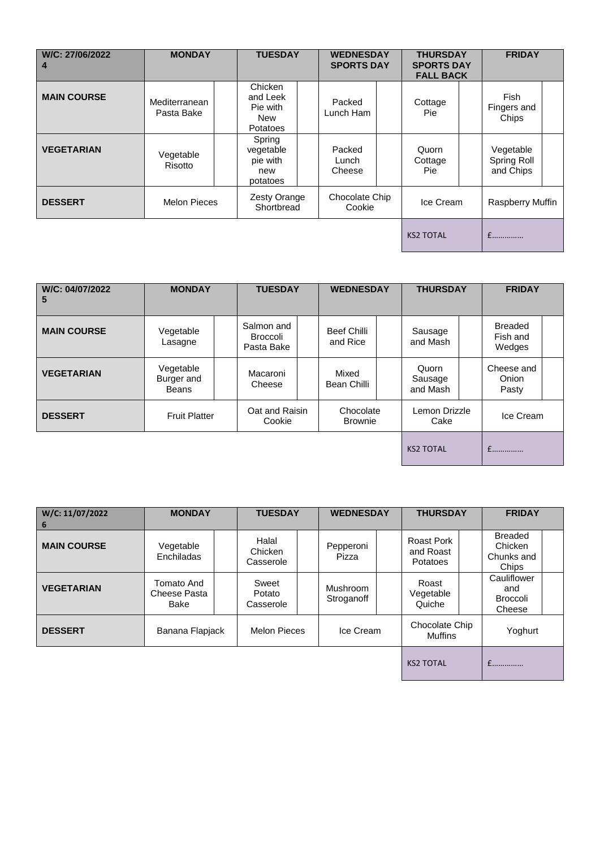| W/C: 27/06/2022<br>4 | <b>MONDAY</b>               | <b>TUESDAY</b>                                            | <b>WEDNESDAY</b><br><b>SPORTS DAY</b> | <b>THURSDAY</b><br><b>SPORTS DAY</b><br><b>FALL BACK</b> | <b>FRIDAY</b>                         |  |
|----------------------|-----------------------------|-----------------------------------------------------------|---------------------------------------|----------------------------------------------------------|---------------------------------------|--|
| <b>MAIN COURSE</b>   | Mediterranean<br>Pasta Bake | Chicken<br>and Leek<br>Pie with<br><b>New</b><br>Potatoes | Packed<br>Lunch Ham                   | Cottage<br>Pie:                                          | Fish<br>Fingers and<br>Chips          |  |
| <b>VEGETARIAN</b>    | Vegetable<br>Risotto        | Spring<br>vegetable<br>pie with<br>new<br>potatoes        | Packed<br>Lunch<br>Cheese             | Quorn<br>Cottage<br>Pie:                                 | Vegetable<br>Spring Roll<br>and Chips |  |
| <b>DESSERT</b>       | <b>Melon Pieces</b>         | Zesty Orange<br>Shortbread                                | Chocolate Chip<br>Cookie              | Ice Cream                                                | Raspberry Muffin                      |  |
|                      |                             |                                                           |                                       | <b>KS2 TOTAL</b>                                         | f                                     |  |

| W/C: 04/07/2022<br>5 | <b>MONDAY</b>                           | <b>TUESDAY</b>                       |                             | <b>WEDNESDAY</b> |                              | <b>THURSDAY</b> | <b>FRIDAY</b>                        |  |
|----------------------|-----------------------------------------|--------------------------------------|-----------------------------|------------------|------------------------------|-----------------|--------------------------------------|--|
| <b>MAIN COURSE</b>   | Vegetable<br>Lasagne                    | Salmon and<br>Broccoli<br>Pasta Bake | Beef Chilli<br>and Rice     |                  | Sausage<br>and Mash          |                 | <b>Breaded</b><br>Fish and<br>Wedges |  |
| <b>VEGETARIAN</b>    | Vegetable<br>Burger and<br><b>Beans</b> | Macaroni<br>Cheese                   | Mixed<br>Bean Chilli        |                  | Quorn<br>Sausage<br>and Mash |                 | Cheese and<br>Onion<br>Pasty         |  |
| <b>DESSERT</b>       | <b>Fruit Platter</b>                    | Oat and Raisin<br>Cookie             | Chocolate<br><b>Brownie</b> |                  | Lemon Drizzle<br>Cake        |                 | Ice Cream                            |  |
|                      |                                         |                                      |                             |                  | <b>KS2 TOTAL</b>             |                 | £                                    |  |

| W/C: 11/07/2022<br>6 | <b>MONDAY</b>                             | <b>TUESDAY</b>                | <b>WEDNESDAY</b>       |           | <b>THURSDAY</b>                     |                | <b>FRIDAY</b>                                    |  |
|----------------------|-------------------------------------------|-------------------------------|------------------------|-----------|-------------------------------------|----------------|--------------------------------------------------|--|
| <b>MAIN COURSE</b>   | Vegetable<br>Enchiladas                   | Halal<br>Chicken<br>Casserole | Pepperoni<br>Pizza     |           | Roast Pork<br>and Roast<br>Potatoes |                | <b>Breaded</b><br>Chicken<br>Chunks and<br>Chips |  |
| <b>VEGETARIAN</b>    | Tomato And<br>Cheese Pasta<br><b>Bake</b> | Sweet<br>Potato<br>Casserole  | Mushroom<br>Stroganoff |           | Roast<br>Vegetable<br>Quiche        |                | Cauliflower<br>and<br>Broccoli<br>Cheese         |  |
| <b>DESSERT</b>       | Banana Flapjack                           | <b>Melon Pieces</b>           |                        | Ice Cream |                                     | Chocolate Chip | Yoghurt                                          |  |
|                      |                                           |                               |                        |           | <b>KS2 TOTAL</b>                    |                |                                                  |  |